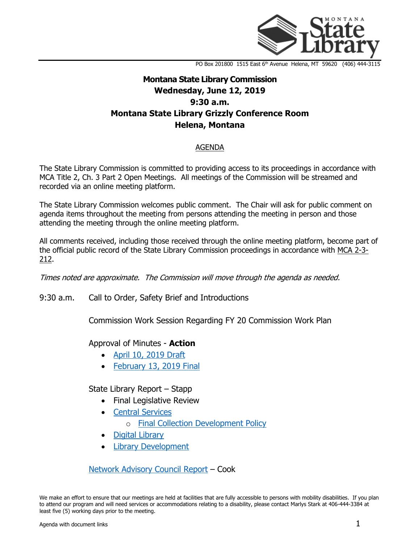

PO Box 201800 1515 East 6<sup>th</sup> Avenue Helena, MT 59620 (406) 444-3115

# **Montana State Library Commission Wednesday, June 12, 2019 9:30 a.m. Montana State Library Grizzly Conference Room Helena, Montana**

#### AGENDA

The State Library Commission is committed to providing access to its proceedings in accordance with MCA Title 2, Ch. 3 Part 2 Open Meetings. All meetings of the Commission will be streamed and recorded via an online meeting platform.

The State Library Commission welcomes public comment. The Chair will ask for public comment on agenda items throughout the meeting from persons attending the meeting in person and those attending the meeting through the online meeting platform.

All comments received, including those received through the online meeting platform, become part of the official public record of the State Library Commission proceedings in accordance with [MCA 2-3-](http://leg.mt.gov/bills/mca/2/3/2-3-212.htm) [212.](http://leg.mt.gov/bills/mca/2/3/2-3-212.htm)

Times noted are approximate. The Commission will move through the agenda as needed.

9:30 a.m. Call to Order, Safety Brief and Introductions

Commission Work Session Regarding FY 20 Commission Work Plan

### Approval of Minutes - **Action**

- [April 10, 2019 Draft](http://ftp.aspen.msl.mt.gov/EventResources/20190529163426_12830.pdf)
- [February 13, 2019 Final](http://ftp.aspen.msl.mt.gov/EventResources/20190529163734_12830.pdf)

State Library Report – Stapp

- Final Legislative Review
- [Central Services](http://ftp.aspen.msl.mt.gov/EventResources/20190529164456_12830.pdf)
	- o [Final Collection Development Policy](http://ftp.aspen.msl.mt.gov/EventResources/20190606144711_12830.pdf)
- [Digital Library](http://ftp.aspen.msl.mt.gov/EventResources/20190529164643_12830.pdf)
- [Library Development](http://ftp.aspen.msl.mt.gov/EventResources/20190529164811_12830.pdf)

[Network Advisory Council Report](http://ftp.aspen.msl.mt.gov/EventResources/20190529163914_12830.pdf) – Cook

We make an effort to ensure that our meetings are held at facilities that are fully accessible to persons with mobility disabilities. If you plan to attend our program and will need services or accommodations relating to a disability, please contact Marlys Stark at 406-444-3384 at least five (5) working days prior to the meeting.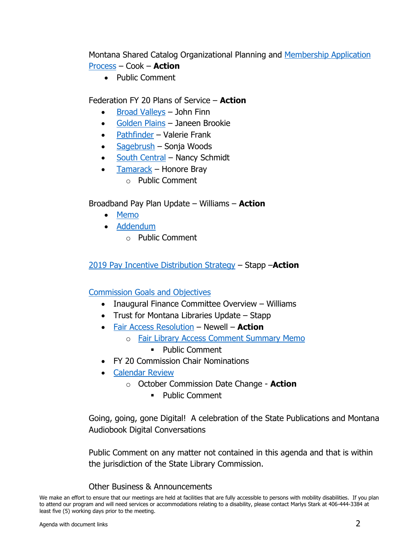Montana Shared Catalog Organizational Planning and [Membership Application](http://ftp.aspen.msl.mt.gov/EventResources/20190529163229_12830.pdf)  [Process](http://ftp.aspen.msl.mt.gov/EventResources/20190529163229_12830.pdf) – Cook – **Action**

• Public Comment

## Federation FY 20 Plans of Service – **Action**

- [Broad Valleys](http://ftp.aspen.msl.mt.gov/EventResources/20190606143626_12830.pdf) John Finn
- [Golden Plains](http://ftp.aspen.msl.mt.gov/EventResources/20190606143815_12830.pdf) Janeen Brookie
- [Pathfinder](http://ftp.aspen.msl.mt.gov/EventResources/20190606143958_12830.pdf) Valerie Frank
- [Sagebrush](http://ftp.aspen.msl.mt.gov/EventResources/20190606144135_12830.pdf) Sonja Woods
- [South Central](http://ftp.aspen.msl.mt.gov/EventResources/20190606144248_12830.pdf) Nancy Schmidt
- $\bullet$  [Tamarack](http://ftp.aspen.msl.mt.gov/EventResources/20190606144414_12830.pdf) Honore Bray
	- o Public Comment

## Broadband Pay Plan Update – Williams – **Action**

- [Memo](http://ftp.aspen.msl.mt.gov/EventResources/20190606144934_12830.pdf)
- [Addendum](http://ftp.aspen.msl.mt.gov/EventResources/20190607103305_12830.pdf)
	- o Public Comment

## [2019 Pay Incentive Distribution Strategy](http://ftp.aspen.msl.mt.gov/EventResources/20190606143353_12830.pdf) – Stapp –**Action**

### [Commission Goals and Objectives](http://ftp.aspen.msl.mt.gov/EventResources/20190529162217_12830.pdf)

- Inaugural Finance Committee Overview Williams
- Trust for Montana Libraries Update Stapp
- [Fair Access Resolution](http://ftp.aspen.msl.mt.gov/EventResources/20190606154618_12830.pdf) Newell **Action**
	- o [Fair Library Access Comment Summary Memo](http://ftp.aspen.msl.mt.gov/EventResources/20190606145403_12830.pdf)
		- Public Comment
- FY 20 Commission Chair Nominations
- [Calendar Review](http://ftp.aspen.msl.mt.gov/EventResources/20190529162101_12830.pdf)
	- o October Commission Date Change **Action**
		- **•** Public Comment

Going, going, gone Digital! A celebration of the State Publications and Montana Audiobook Digital Conversations

Public Comment on any matter not contained in this agenda and that is within the jurisdiction of the State Library Commission.

### Other Business & Announcements

We make an effort to ensure that our meetings are held at facilities that are fully accessible to persons with mobility disabilities. If you plan to attend our program and will need services or accommodations relating to a disability, please contact Marlys Stark at 406-444-3384 at least five (5) working days prior to the meeting.